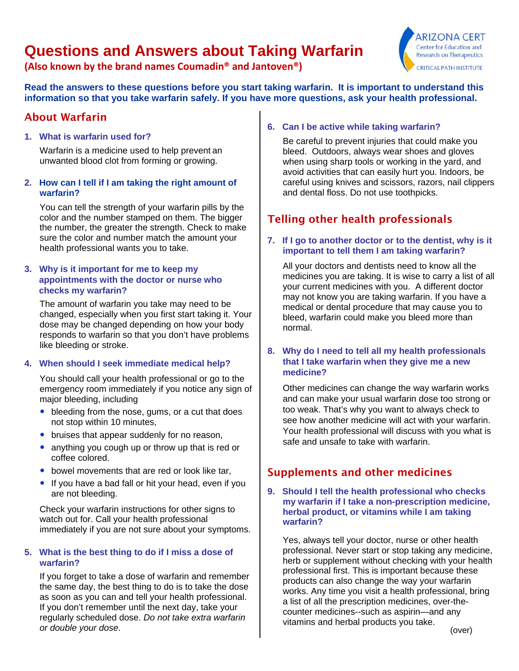# **Questions and Answers about Taking Warfarin**

**(Also known by the brand names Coumadin® and Jantoven®)**



**Read the answers to these questions before you start taking warfarin. It is important to understand this information so that you take warfarin safely. If you have more questions, ask your health professional.**

### About Warfarin

**1. What is warfarin used for?** 

Warfarin is a medicine used to help prevent an unwanted blood clot from forming or growing.

#### **2. How can I tell if I am taking the right amount of warfarin?**

 You can tell the strength of your warfarin pills by the color and the number stamped on them. The bigger the number, the greater the strength. Check to make sure the color and number match the amount your health professional wants you to take.

#### **3. Why is it important for me to keep my appointments with the doctor or nurse who checks my warfarin?**

The amount of warfarin you take may need to be changed, especially when you first start taking it. Your dose may be changed depending on how your body responds to warfarin so that you don't have problems like bleeding or stroke.

#### **4. When should I seek immediate medical help?**

You should call your health professional or go to the emergency room immediately if you notice any sign of major bleeding, including

- bleeding from the nose, gums, or a cut that does not stop within 10 minutes,
- bruises that appear suddenly for no reason,
- anything you cough up or throw up that is red or coffee colored.
- $\bullet$  bowel movements that are red or look like tar,
- If you have a bad fall or hit your head, even if you are not bleeding.

Check your warfarin instructions for other signs to watch out for. Call your health professional immediately if you are not sure about your symptoms.

#### **5. What is the best thing to do if I miss a dose of warfarin?**

If you forget to take a dose of warfarin and remember the same day, the best thing to do is to take the dose as soon as you can and tell your health professional. If you don't remember until the next day, take your regularly scheduled dose. *Do not take extra warfarin or double your dose*.

#### **6. Can I be active while taking warfarin?**

Be careful to prevent injuries that could make you bleed. Outdoors, always wear shoes and gloves when using sharp tools or working in the yard, and avoid activities that can easily hurt you. Indoors, be careful using knives and scissors, razors, nail clippers and dental floss. Do not use toothpicks.

# Telling other health professionals

#### **7. If I go to another doctor or to the dentist, why is it important to tell them I am taking warfarin?**

All your doctors and dentists need to know all the medicines you are taking. It is wise to carry a list of all your current medicines with you. A different doctor may not know you are taking warfarin. If you have a medical or dental procedure that may cause you to bleed, warfarin could make you bleed more than normal.

#### **8. Why do I need to tell all my health professionals that I take warfarin when they give me a new medicine?**

Other medicines can change the way warfarin works and can make your usual warfarin dose too strong or too weak. That's why you want to always check to see how another medicine will act with your warfarin. Your health professional will discuss with you what is safe and unsafe to take with warfarin.

# Supplements and other medicines

#### **9. Should I tell the health professional who checks my warfarin if I take a non-prescription medicine, herbal product, or vitamins while I am taking warfarin?**

Yes, always tell your doctor, nurse or other health professional. Never start or stop taking any medicine, herb or supplement without checking with your health professional first. This is important because these products can also change the way your warfarin works. Any time you visit a health professional, bring a list of all the prescription medicines, over-thecounter medicines--such as aspirin—and any vitamins and herbal products you take.